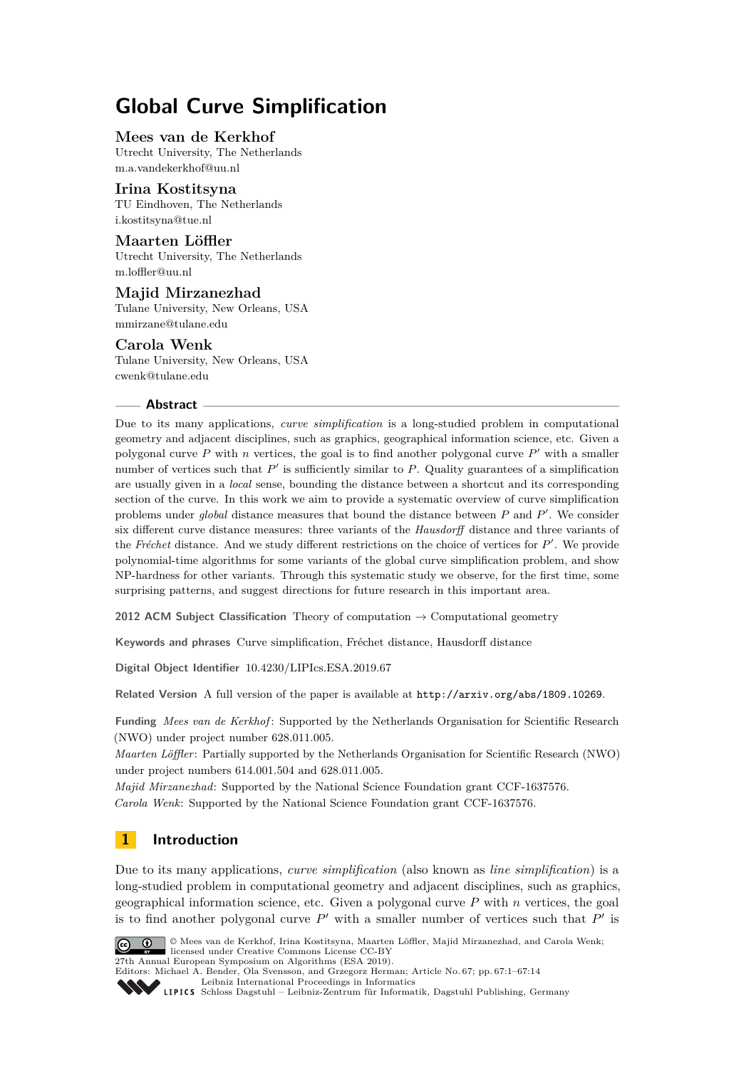# **Global Curve Simplification**

# **Mees van de Kerkhof**

Utrecht University, The Netherlands [m.a.vandekerkhof@uu.nl](mailto:m.a.vandekerkhof@uu.nl)

#### **Irina Kostitsyna**

TU Eindhoven, The Netherlands [i.kostitsyna@tue.nl](mailto:i.kostitsyna@tue.nl)

#### **Maarten Löffler**

Utrecht University, The Netherlands [m.loffler@uu.nl](mailto:m.loffler@uu.nl)

#### **Majid Mirzanezhad**

Tulane University, New Orleans, USA [mmirzane@tulane.edu](mailto:mmirzane@tulane.edu)

#### **Carola Wenk**

Tulane University, New Orleans, USA [cwenk@tulane.edu](mailto:cwenk@tulane.edu)

#### **Abstract**

Due to its many applications, *curve simplification* is a long-studied problem in computational geometry and adjacent disciplines, such as graphics, geographical information science, etc. Given a polygonal curve  $P$  with  $n$  vertices, the goal is to find another polygonal curve  $P'$  with a smaller number of vertices such that  $P'$  is sufficiently similar to  $P$ . Quality guarantees of a simplification are usually given in a *local* sense, bounding the distance between a shortcut and its corresponding section of the curve. In this work we aim to provide a systematic overview of curve simplification problems under *global* distance measures that bound the distance between *P* and *P'*. We consider six different curve distance measures: three variants of the *Hausdorff* distance and three variants of the Fréchet distance. And we study different restrictions on the choice of vertices for  $P'$ . We provide polynomial-time algorithms for some variants of the global curve simplification problem, and show NP-hardness for other variants. Through this systematic study we observe, for the first time, some surprising patterns, and suggest directions for future research in this important area.

**2012 ACM Subject Classification** Theory of computation → Computational geometry

**Keywords and phrases** Curve simplification, Fréchet distance, Hausdorff distance

**Digital Object Identifier** [10.4230/LIPIcs.ESA.2019.67](https://doi.org/10.4230/LIPIcs.ESA.2019.67)

**Related Version** A full version of the paper is available at <http://arxiv.org/abs/1809.10269>.

**Funding** *Mees van de Kerkhof* : Supported by the Netherlands Organisation for Scientific Research (NWO) under project number 628.011.005.

*Maarten Löffler*: Partially supported by the Netherlands Organisation for Scientific Research (NWO) under project numbers 614.001.504 and 628.011.005.

*Majid Mirzanezhad*: Supported by the National Science Foundation grant CCF-1637576. *Carola Wenk*: Supported by the National Science Foundation grant CCF-1637576.

# **1 Introduction**

Due to its many applications, *curve simplification* (also known as *line simplification*) is a long-studied problem in computational geometry and adjacent disciplines, such as graphics, geographical information science, etc. Given a polygonal curve *P* with *n* vertices, the goal is to find another polygonal curve  $P'$  with a smaller number of vertices such that  $P'$  is



© Mees van de Kerkhof, Irina Kostitsyna, Maarten Löffler, Majid Mirzanezhad, and Carola Wenk; licensed under Creative Commons License CC-BY 27th Annual European Symposium on Algorithms (ESA 2019).

[Leibniz International Proceedings in Informatics](https://www.dagstuhl.de/lipics/)

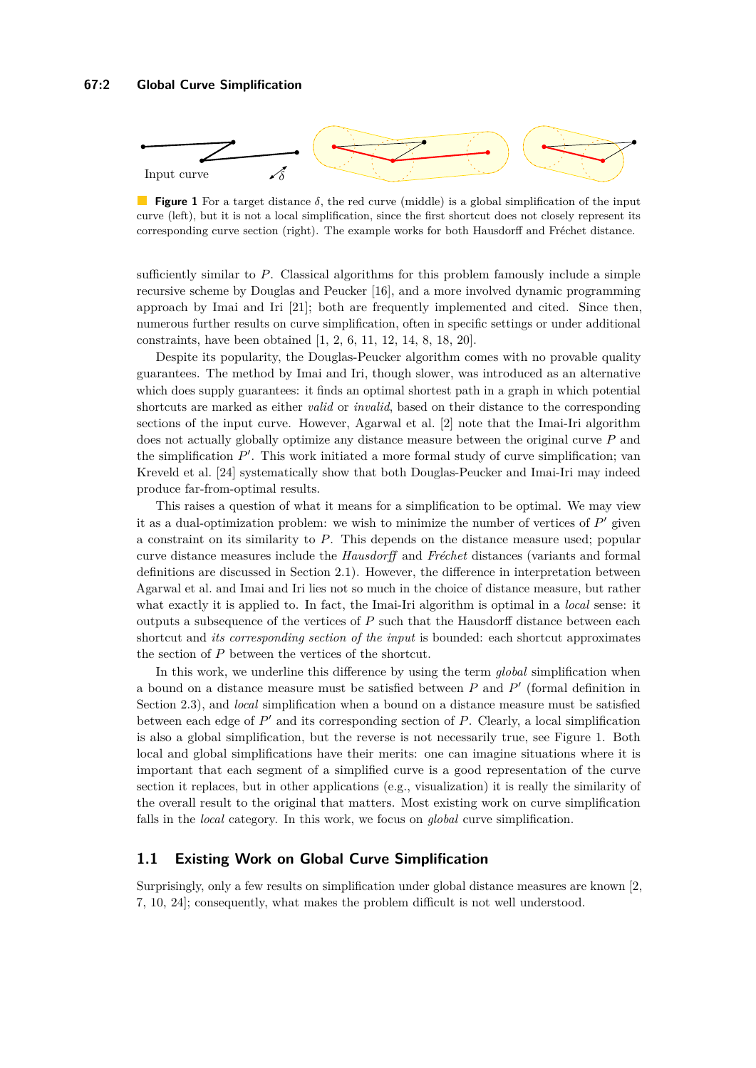#### **67:2 Global Curve Simplification**

<span id="page-1-0"></span>

**Figure 1** For a target distance *δ*, the red curve (middle) is a global simplification of the input curve (left), but it is not a local simplification, since the first shortcut does not closely represent its corresponding curve section (right). The example works for both Hausdorff and Fréchet distance.

sufficiently similar to *P*. Classical algorithms for this problem famously include a simple recursive scheme by Douglas and Peucker [\[16\]](#page-13-1), and a more involved dynamic programming approach by Imai and Iri [\[21\]](#page-13-2); both are frequently implemented and cited. Since then, numerous further results on curve simplification, often in specific settings or under additional constraints, have been obtained [\[1,](#page-12-0) [2,](#page-12-1) [6,](#page-12-2) [11,](#page-13-3) [12,](#page-13-4) [14,](#page-13-5) [8,](#page-12-3) [18,](#page-13-6) [20\]](#page-13-7).

Despite its popularity, the Douglas-Peucker algorithm comes with no provable quality guarantees. The method by Imai and Iri, though slower, was introduced as an alternative which does supply guarantees: it finds an optimal shortest path in a graph in which potential shortcuts are marked as either *valid* or *invalid*, based on their distance to the corresponding sections of the input curve. However, Agarwal et al. [\[2\]](#page-12-1) note that the Imai-Iri algorithm does not actually globally optimize any distance measure between the original curve *P* and the simplification  $P'$ . This work initiated a more formal study of curve simplification; van Kreveld et al. [\[24\]](#page-13-8) systematically show that both Douglas-Peucker and Imai-Iri may indeed produce far-from-optimal results.

This raises a question of what it means for a simplification to be optimal. We may view it as a dual-optimization problem: we wish to minimize the number of vertices of  $P'$  given a constraint on its similarity to *P*. This depends on the distance measure used; popular curve distance measures include the *Hausdorff* and *Fréchet* distances (variants and formal definitions are discussed in Section [2.1\)](#page-2-0). However, the difference in interpretation between Agarwal et al. and Imai and Iri lies not so much in the choice of distance measure, but rather what exactly it is applied to. In fact, the Imai-Iri algorithm is optimal in a *local* sense: it outputs a subsequence of the vertices of *P* such that the Hausdorff distance between each shortcut and *its corresponding section of the input* is bounded: each shortcut approximates the section of *P* between the vertices of the shortcut.

In this work, we underline this difference by using the term *global* simplification when a bound on a distance measure must be satisfied between  $P$  and  $P'$  (formal definition in Section [2.3\)](#page-4-0), and *local* simplification when a bound on a distance measure must be satisfied between each edge of  $P'$  and its corresponding section of  $P$ . Clearly, a local simplification is also a global simplification, but the reverse is not necessarily true, see Figure [1.](#page-1-0) Both local and global simplifications have their merits: one can imagine situations where it is important that each segment of a simplified curve is a good representation of the curve section it replaces, but in other applications (e.g., visualization) it is really the similarity of the overall result to the original that matters. Most existing work on curve simplification falls in the *local* category. In this work, we focus on *global* curve simplification.

#### <span id="page-1-1"></span>**1.1 Existing Work on Global Curve Simplification**

Surprisingly, only a few results on simplification under global distance measures are known [\[2,](#page-12-1) [7,](#page-12-4) [10,](#page-13-9) [24\]](#page-13-8); consequently, what makes the problem difficult is not well understood.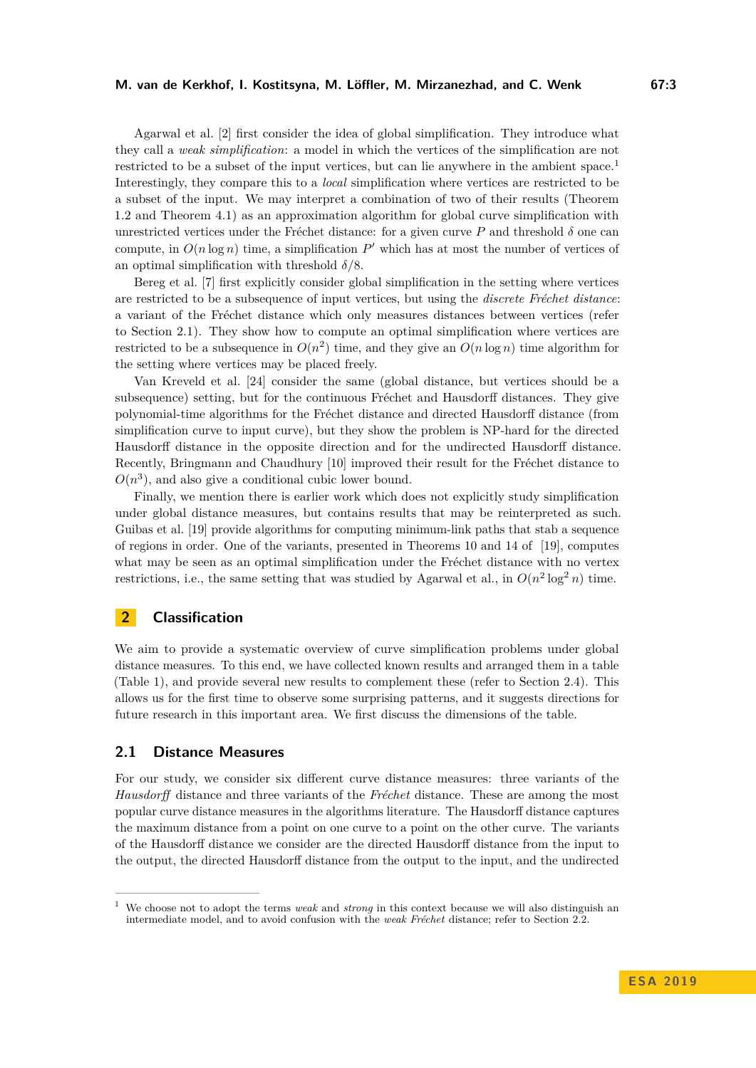Agarwal et al. [\[2\]](#page-12-1) first consider the idea of global simplification. They introduce what they call a *weak simplification*: a model in which the vertices of the simplification are not restricted to be a subset of the input vertices, but can lie anywhere in the ambient space.<sup>[1](#page-2-1)</sup> Interestingly, they compare this to a *local* simplification where vertices are restricted to be a subset of the input. We may interpret a combination of two of their results (Theorem 1.2 and Theorem 4.1) as an approximation algorithm for global curve simplification with unrestricted vertices under the Fréchet distance: for a given curve  $P$  and threshold  $\delta$  one can compute, in  $O(n \log n)$  time, a simplification  $P'$  which has at most the number of vertices of an optimal simplification with threshold *δ/*8.

Bereg et al. [\[7\]](#page-12-4) first explicitly consider global simplification in the setting where vertices are restricted to be a subsequence of input vertices, but using the *discrete Fréchet distance*: a variant of the Fréchet distance which only measures distances between vertices (refer to Section [2.1\)](#page-2-0). They show how to compute an optimal simplification where vertices are restricted to be a subsequence in  $O(n^2)$  time, and they give an  $O(n \log n)$  time algorithm for the setting where vertices may be placed freely.

Van Kreveld et al. [\[24\]](#page-13-8) consider the same (global distance, but vertices should be a subsequence) setting, but for the continuous Fréchet and Hausdorff distances. They give polynomial-time algorithms for the Fréchet distance and directed Hausdorff distance (from simplification curve to input curve), but they show the problem is NP-hard for the directed Hausdorff distance in the opposite direction and for the undirected Hausdorff distance. Recently, Bringmann and Chaudhury [\[10\]](#page-13-9) improved their result for the Fréchet distance to  $O(n^3)$ , and also give a conditional cubic lower bound.

Finally, we mention there is earlier work which does not explicitly study simplification under global distance measures, but contains results that may be reinterpreted as such. Guibas et al. [\[19\]](#page-13-10) provide algorithms for computing minimum-link paths that stab a sequence of regions in order. One of the variants, presented in Theorems 10 and 14 of [\[19\]](#page-13-10), computes what may be seen as an optimal simplification under the Fréchet distance with no vertex restrictions, i.e., the same setting that was studied by Agarwal et al., in  $O(n^2 \log^2 n)$  time.

# **2 Classification**

We aim to provide a systematic overview of curve simplification problems under global distance measures. To this end, we have collected known results and arranged them in a table (Table [1\)](#page-4-1), and provide several new results to complement these (refer to Section [2.4\)](#page-5-0). This allows us for the first time to observe some surprising patterns, and it suggests directions for future research in this important area. We first discuss the dimensions of the table.

#### <span id="page-2-0"></span>**2.1 Distance Measures**

For our study, we consider six different curve distance measures: three variants of the *Hausdorff* distance and three variants of the *Fréchet* distance. These are among the most popular curve distance measures in the algorithms literature. The Hausdorff distance captures the maximum distance from a point on one curve to a point on the other curve. The variants of the Hausdorff distance we consider are the directed Hausdorff distance from the input to the output, the directed Hausdorff distance from the output to the input, and the undirected

<span id="page-2-1"></span><sup>1</sup> We choose not to adopt the terms *weak* and *strong* in this context because we will also distinguish an intermediate model, and to avoid confusion with the *weak Fréchet* distance; refer to Section [2.2.](#page-3-0)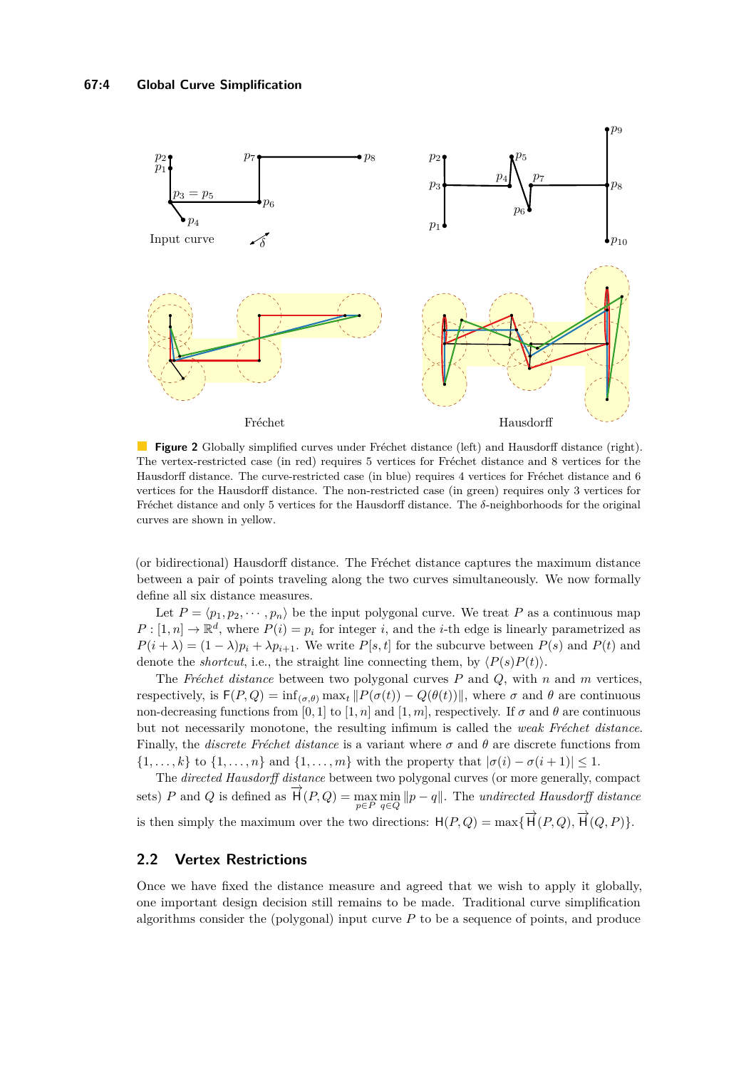<span id="page-3-1"></span>

**Figure 2** Globally simplified curves under Fréchet distance (left) and Hausdorff distance (right). The vertex-restricted case (in red) requires 5 vertices for Fréchet distance and 8 vertices for the Hausdorff distance. The curve-restricted case (in blue) requires 4 vertices for Fréchet distance and 6 vertices for the Hausdorff distance. The non-restricted case (in green) requires only 3 vertices for Fréchet distance and only 5 vertices for the Hausdorff distance. The *δ*-neighborhoods for the original curves are shown in yellow.

(or bidirectional) Hausdorff distance. The Fréchet distance captures the maximum distance between a pair of points traveling along the two curves simultaneously. We now formally define all six distance measures.

Let  $P = \langle p_1, p_2, \dots, p_n \rangle$  be the input polygonal curve. We treat P as a continuous map  $P: [1, n] \to \mathbb{R}^d$ , where  $P(i) = p_i$  for integer *i*, and the *i*-th edge is linearly parametrized as  $P(i + \lambda) = (1 - \lambda)p_i + \lambda p_{i+1}$ . We write  $P[s, t]$  for the subcurve between  $P(s)$  and  $P(t)$  and denote the *shortcut*, i.e., the straight line connecting them, by  $\langle P(s)P(t) \rangle$ .

The *Fréchet distance* between two polygonal curves *P* and *Q*, with *n* and *m* vertices, respectively, is  $F(P,Q) = \inf_{(\sigma,\theta)} \max_t ||P(\sigma(t)) - Q(\theta(t))||$ , where  $\sigma$  and  $\theta$  are continuous non-decreasing functions from [0, 1] to [1, n] and [1, m], respectively. If  $\sigma$  and  $\theta$  are continuous but not necessarily monotone, the resulting infimum is called the *weak Fréchet distance*. Finally, the *discrete Fréchet distance* is a variant where *σ* and *θ* are discrete functions from  $\{1, \ldots, k\}$  to  $\{1, \ldots, n\}$  and  $\{1, \ldots, m\}$  with the property that  $|\sigma(i) - \sigma(i+1)| \leq 1$ .

The *directed Hausdorff distance* between two polygonal curves (or more generally, compact sets) *P* and *Q* is defined as  $\overrightarrow{H}(P,Q) = \max_{p \in P} \min_{q \in Q} ||p - q||$ . The *undirected Hausdorff distance* is then simply the maximum over the two directions:  $H(P,Q) = \max{\{\overrightarrow{H}(P,Q), \overrightarrow{H}(Q,P)\}}$ .

#### <span id="page-3-0"></span>**2.2 Vertex Restrictions**

Once we have fixed the distance measure and agreed that we wish to apply it globally, one important design decision still remains to be made. Traditional curve simplification algorithms consider the (polygonal) input curve *P* to be a sequence of points, and produce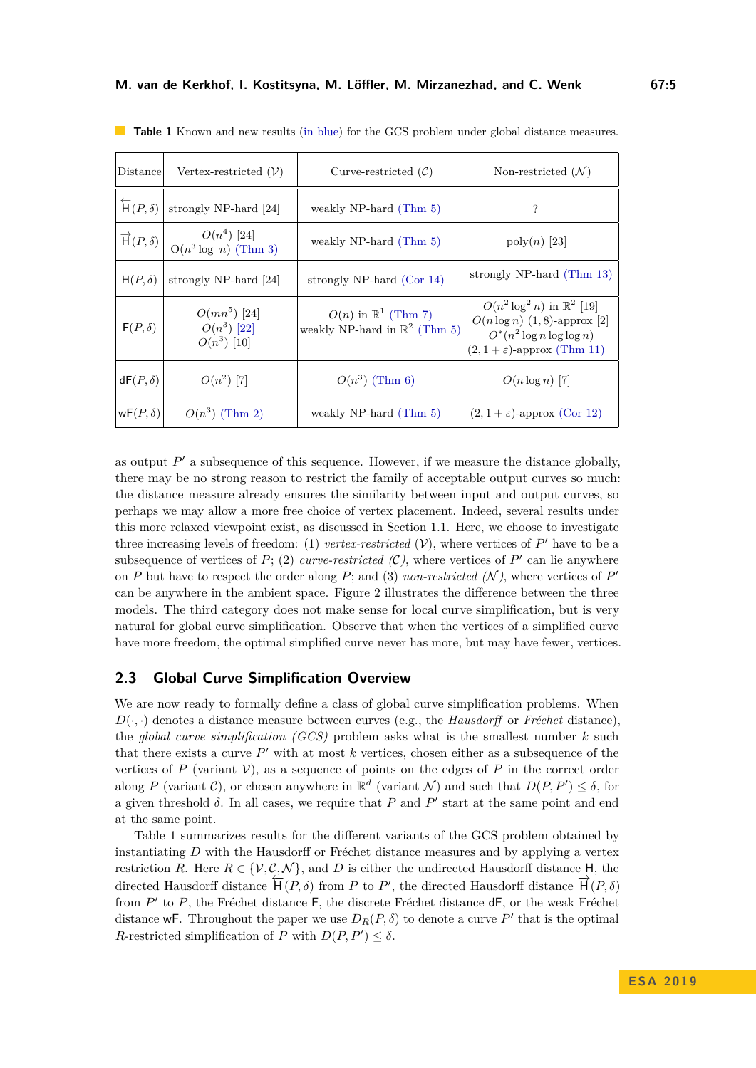| Distance                      | Vertex-restricted $(V)$                                                                                                               | Curve-restricted $(C)$                                                       | Non-restricted $(N)$                                                                                                                                   |
|-------------------------------|---------------------------------------------------------------------------------------------------------------------------------------|------------------------------------------------------------------------------|--------------------------------------------------------------------------------------------------------------------------------------------------------|
| $\overleftarrow{H}(P,\delta)$ | strongly NP-hard [24]                                                                                                                 | weakly NP-hard $(Thm 5)$                                                     | ?                                                                                                                                                      |
|                               | $\overrightarrow{\mathrm{H}}(P,\delta) \left  \begin{array}{c} O(n^4) \ [24] \\ O(n^3 \log n) \ (T \text{hm } 3) \end{array} \right.$ | weakly NP-hard (Thm 5)                                                       | $\operatorname{poly}(n)$ [23]                                                                                                                          |
| $H(P,\delta)$                 | strongly NP-hard [24]                                                                                                                 | strongly NP-hard $(Cor 14)$                                                  | strongly NP-hard (Thm 13)                                                                                                                              |
| $F(P,\delta)$                 | $O(mn^5)$ [24]<br>$O(n^3)$ [22]<br>$O(n^3)$ [10]                                                                                      | $O(n)$ in $\mathbb{R}^1$ (Thm 7)<br>weakly NP-hard in $\mathbb{R}^2$ (Thm 5) | $O(n^2 \log^2 n)$ in $\mathbb{R}^2$ [19]<br>$O(n \log n)$ (1,8)-approx [2]<br>$O^*(n^2 \log n \log \log n)$<br>$(2, 1 + \varepsilon)$ -approx (Thm 11) |
| $dF(P,\delta)$                | $O(n^2)$ [7]                                                                                                                          | $O(n^3)$ (Thm 6)                                                             | $O(n \log n)$ [7]                                                                                                                                      |
| $wF(P,\delta)$                | $O(n^3)$ (Thm 2)                                                                                                                      | weakly NP-hard $(Thm 5)$                                                     | $(2, 1 + \varepsilon)$ -approx (Cor 12)                                                                                                                |

<span id="page-4-1"></span>**Table 1** Known and new results (in blue) for the GCS problem under global distance measures.

as output  $P'$  a subsequence of this sequence. However, if we measure the distance globally, there may be no strong reason to restrict the family of acceptable output curves so much: the distance measure already ensures the similarity between input and output curves, so perhaps we may allow a more free choice of vertex placement. Indeed, several results under this more relaxed viewpoint exist, as discussed in Section [1.1.](#page-1-1) Here, we choose to investigate three increasing levels of freedom: (1) *vertex-restricted*  $(V)$ , where vertices of  $P'$  have to be a subsequence of vertices of  $P$ ; (2) *curve-restricted (C)*, where vertices of  $P'$  can lie anywhere on *P* but have to respect the order along *P*; and (3) *non-restricted*  $(N)$ , where vertices of *P*<sup>'</sup> can be anywhere in the ambient space. Figure [2](#page-3-1) illustrates the difference between the three models. The third category does not make sense for local curve simplification, but is very natural for global curve simplification. Observe that when the vertices of a simplified curve have more freedom, the optimal simplified curve never has more, but may have fewer, vertices.

#### <span id="page-4-0"></span>**2.3 Global Curve Simplification Overview**

We are now ready to formally define a class of global curve simplification problems. When  $D(\cdot, \cdot)$  denotes a distance measure between curves (e.g., the *Hausdorff* or *Fréchet* distance), the *global curve simplification (GCS)* problem asks what is the smallest number *k* such that there exists a curve  $P'$  with at most  $k$  vertices, chosen either as a subsequence of the vertices of *P* (variant  $V$ ), as a sequence of points on the edges of *P* in the correct order along *P* (variant *C*), or chosen anywhere in  $\mathbb{R}^d$  (variant *N*) and such that  $D(P, P') \leq \delta$ , for a given threshold  $\delta$ . In all cases, we require that  $P$  and  $P'$  start at the same point and end at the same point.

Table [1](#page-4-1) summarizes results for the different variants of the GCS problem obtained by instantiating *D* with the Hausdorff or Fréchet distance measures and by applying a vertex restriction *R*. Here  $R \in \{V, C, \mathcal{N}\}\)$ , and *D* is either the undirected Hausdorff distance H, the directed Hausdorff distance  $\overline{H}(P,\delta)$  from *P* to *P'*, the directed Hausdorff distance  $\overrightarrow{H}(P,\delta)$ from P' to P, the Fréchet distance F, the discrete Fréchet distance dF, or the weak Fréchet distance wF. Throughout the paper we use  $D_R(P,\delta)$  to denote a curve P' that is the optimal *R*-restricted simplification of *P* with  $D(P, P') \leq \delta$ .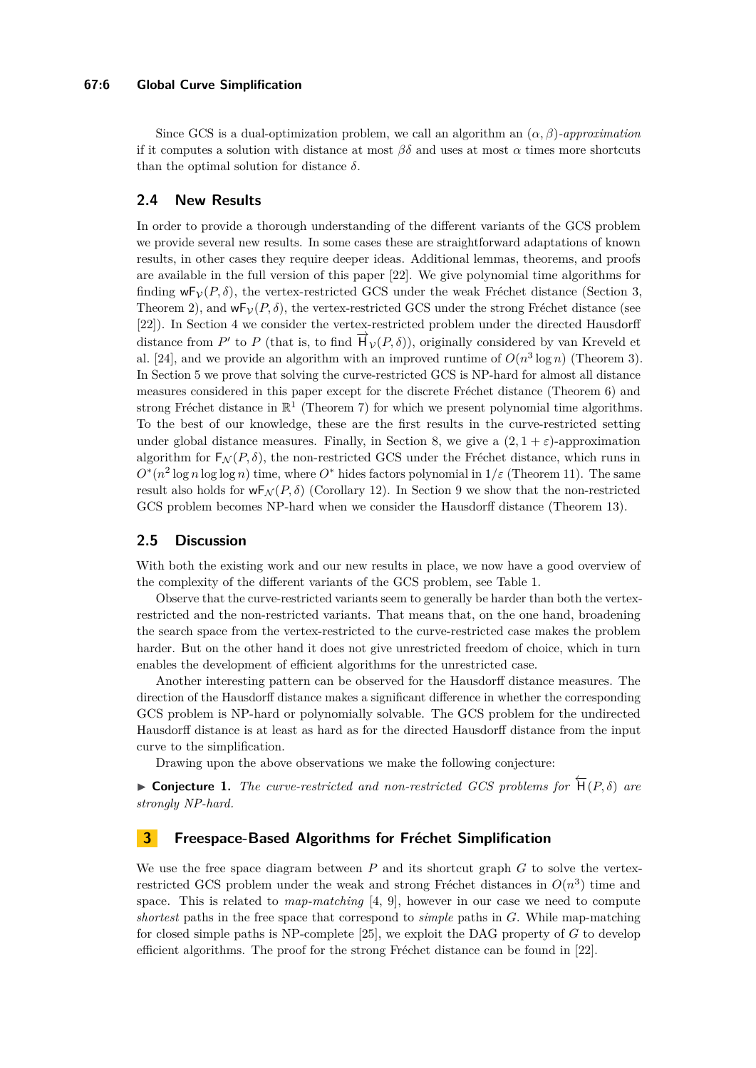#### **67:6 Global Curve Simplification**

Since GCS is a dual-optimization problem, we call an algorithm an (*α, β*)*-approximation* if it computes a solution with distance at most  $\beta\delta$  and uses at most  $\alpha$  times more shortcuts than the optimal solution for distance  $\delta$ .

#### <span id="page-5-0"></span>**2.4 New Results**

In order to provide a thorough understanding of the different variants of the GCS problem we provide several new results. In some cases these are straightforward adaptations of known results, in other cases they require deeper ideas. Additional lemmas, theorems, and proofs are available in the full version of this paper [\[22\]](#page-13-12). We give polynomial time algorithms for finding  $wF_{\mathcal{V}}(P,\delta)$ , the vertex-restricted GCS under the weak Fréchet distance (Section [3,](#page-5-1) Theorem [2\)](#page-7-0), and  $wF_{\mathcal{V}}(P,\delta)$ , the vertex-restricted GCS under the strong Fréchet distance (see [\[22\]](#page-13-12)). In Section [4](#page-7-1) we consider the vertex-restricted problem under the directed Hausdorff distance from *P*<sup> $\prime$ </sup> to *P* (that is, to find  $\vec{H}_V(P,\delta)$ ), originally considered by van Kreveld et al. [\[24\]](#page-13-8), and we provide an algorithm with an improved runtime of  $O(n^3 \log n)$  (Theorem [3\)](#page-8-0). In Section [5](#page-8-1) we prove that solving the curve-restricted GCS is NP-hard for almost all distance measures considered in this paper except for the discrete Fréchet distance (Theorem [6\)](#page-10-1) and strong Fréchet distance in  $\mathbb{R}^1$  (Theorem [7\)](#page-10-0) for which we present polynomial time algorithms. To the best of our knowledge, these are the first results in the curve-restricted setting under global distance measures. Finally, in Section [8,](#page-10-2) we give a  $(2, 1 + \varepsilon)$ -approximation algorithm for  $F_N(P, \delta)$ , the non-restricted GCS under the Fréchet distance, which runs in  $O^*(n^2 \log n \log \log n)$  time, where  $O^*$  hides factors polynomial in  $1/\varepsilon$  (Theorem [11\)](#page-11-0). The same result also holds for  $wF_N(P,\delta)$  (Corollary [12\)](#page-11-1). In Section [9](#page-11-2) we show that the non-restricted GCS problem becomes NP-hard when we consider the Hausdorff distance (Theorem [13\)](#page-12-6).

#### **2.5 Discussion**

With both the existing work and our new results in place, we now have a good overview of the complexity of the different variants of the GCS problem, see Table [1.](#page-4-1)

Observe that the curve-restricted variants seem to generally be harder than both the vertexrestricted and the non-restricted variants. That means that, on the one hand, broadening the search space from the vertex-restricted to the curve-restricted case makes the problem harder. But on the other hand it does not give unrestricted freedom of choice, which in turn enables the development of efficient algorithms for the unrestricted case.

Another interesting pattern can be observed for the Hausdorff distance measures. The direction of the Hausdorff distance makes a significant difference in whether the corresponding GCS problem is NP-hard or polynomially solvable. The GCS problem for the undirected Hausdorff distance is at least as hard as for the directed Hausdorff distance from the input curve to the simplification.

Drawing upon the above observations we make the following conjecture:

 $\blacktriangleright$  **Conjecture 1.** *The curve-restricted and non-restricted GCS problems for*  $\overleftarrow{H}(P, \delta)$  *are strongly NP-hard.*

## <span id="page-5-1"></span>**3 Freespace-Based Algorithms for Fréchet Simplification**

We use the free space diagram between *P* and its shortcut graph *G* to solve the vertexrestricted GCS problem under the weak and strong Fréchet distances in  $O(n^3)$  time and space. This is related to *map-matching* [\[4,](#page-12-7) [9\]](#page-13-13), however in our case we need to compute *shortest* paths in the free space that correspond to *simple* paths in *G*. While map-matching for closed simple paths is NP-complete [\[25\]](#page-13-14), we exploit the DAG property of *G* to develop efficient algorithms. The proof for the strong Fréchet distance can be found in [\[22\]](#page-13-12).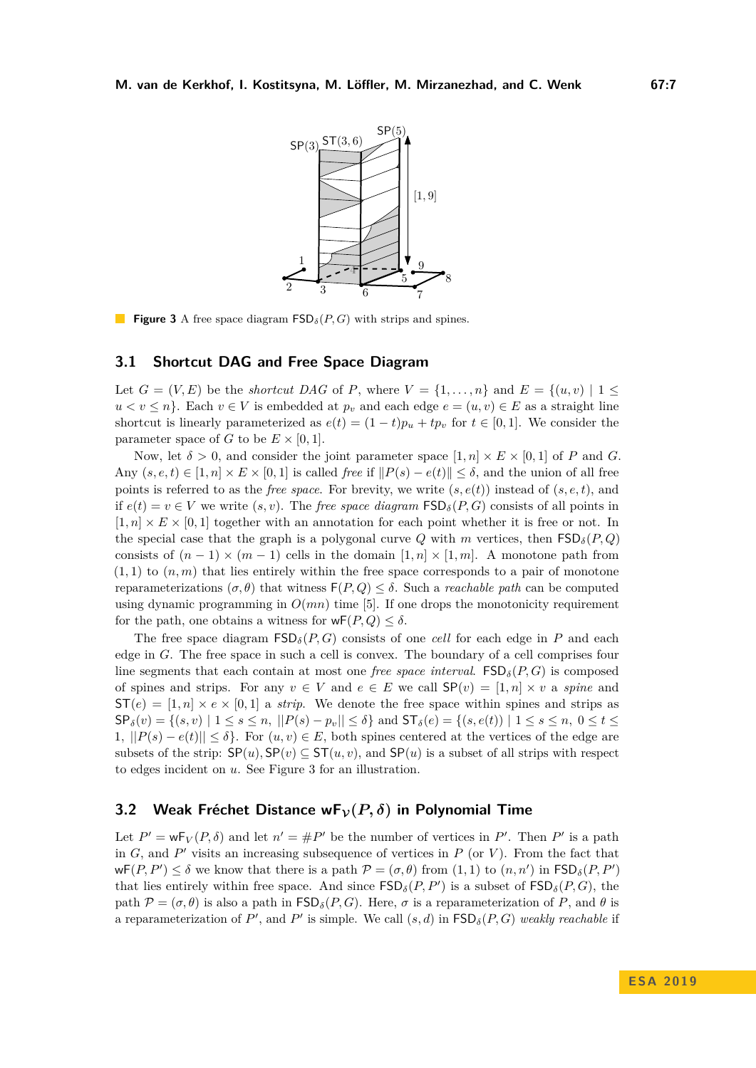<span id="page-6-0"></span>

**Figure 3** A free space diagram FSD*δ*(*P, G*) with strips and spines.

#### **3.1 Shortcut DAG and Free Space Diagram**

Let  $G = (V, E)$  be the *shortcut DAG* of *P*, where  $V = \{1, \ldots, n\}$  and  $E = \{(u, v) | 1 \leq$  $u < v \leq n$ . Each  $v \in V$  is embedded at  $p_v$  and each edge  $e = (u, v) \in E$  as a straight line shortcut is linearly parameterized as  $e(t) = (1-t)p_u + tp_v$  for  $t \in [0,1]$ . We consider the parameter space of *G* to be  $E \times [0, 1]$ .

Now, let  $\delta > 0$ , and consider the joint parameter space  $[1, n] \times E \times [0, 1]$  of P and G. Any  $(s, e, t) \in [1, n] \times E \times [0, 1]$  is called *free* if  $||P(s) - e(t)|| \le \delta$ , and the union of all free points is referred to as the *free space*. For brevity, we write  $(s, e(t))$  instead of  $(s, e, t)$ , and if  $e(t) = v \in V$  we write  $(s, v)$ . The *free space diagram*  $\text{FSD}_{\delta}(P, G)$  consists of all points in  $[1, n] \times E \times [0, 1]$  together with an annotation for each point whether it is free or not. In the special case that the graph is a polygonal curve *Q* with *m* vertices, then  $\mathsf{FSD}_{\delta}(P,Q)$ consists of  $(n-1) \times (m-1)$  cells in the domain  $[1,n] \times [1,m]$ . A monotone path from  $(1,1)$  to  $(n,m)$  that lies entirely within the free space corresponds to a pair of monotone reparameterizations (*σ, θ*) that witness F(*P, Q*) ≤ *δ*. Such a *reachable path* can be computed using dynamic programming in  $O(mn)$  time [\[5\]](#page-12-8). If one drops the monotonicity requirement for the path, one obtains a witness for  $wF(P,Q) \leq \delta$ .

The free space diagram  $\mathsf{FSD}_\delta(P, G)$  consists of one *cell* for each edge in P and each edge in *G*. The free space in such a cell is convex. The boundary of a cell comprises four line segments that each contain at most one *free space interval*.  $\text{FSD}_\delta(P, G)$  is composed of spines and strips. For any  $v \in V$  and  $e \in E$  we call  $\mathsf{SP}(v) = [1, n] \times v$  a *spine* and  $ST(e) = [1, n] \times e \times [0, 1]$  a *strip*. We denote the free space within spines and strips as  $\mathsf{SP}_{\delta}(v) = \{(s, v) \mid 1 \leq s \leq n, ||P(s) - p_v|| \leq \delta\}$  and  $\mathsf{ST}_{\delta}(e) = \{(s, e(t)) \mid 1 \leq s \leq n, 0 \leq t \leq \delta\}$ 1*,*  $||P(s) - e(t)|| \leq \delta$ . For  $(u, v) \in E$ , both spines centered at the vertices of the edge are subsets of the strip:  $SP(u)$ ,  $SP(v) \subseteq ST(u, v)$ , and  $SP(u)$  is a subset of all strips with respect to edges incident on *u*. See Figure [3](#page-6-0) for an illustration.

#### **3.2** Weak Fréchet Distance  $wF_\mathcal{V}(P,\delta)$  in Polynomial Time

Let  $P' = \mathsf{wF}_V(P, \delta)$  and let  $n' = \#P'$  be the number of vertices in P'. Then P' is a path in  $G$ , and  $P'$  visits an increasing subsequence of vertices in  $P$  (or  $V$ ). From the fact that  $\mathsf{wF}(P, P') \leq \delta$  we know that there is a path  $\mathcal{P} = (\sigma, \theta)$  from  $(1, 1)$  to  $(n, n')$  in  $\mathsf{FSD}_{\delta}(P, P')$ that lies entirely within free space. And since  $\mathsf{FSD}_{\delta}(P, P')$  is a subset of  $\mathsf{FSD}_{\delta}(P, G)$ , the path  $\mathcal{P} = (\sigma, \theta)$  is also a path in  $\mathsf{FSD}_\delta(P, G)$ . Here,  $\sigma$  is a reparameterization of P, and  $\theta$  is a reparameterization of  $P'$ , and  $P'$  is simple. We call  $(s, d)$  in  $\textsf{FSD}_\delta(P, G)$  weakly reachable if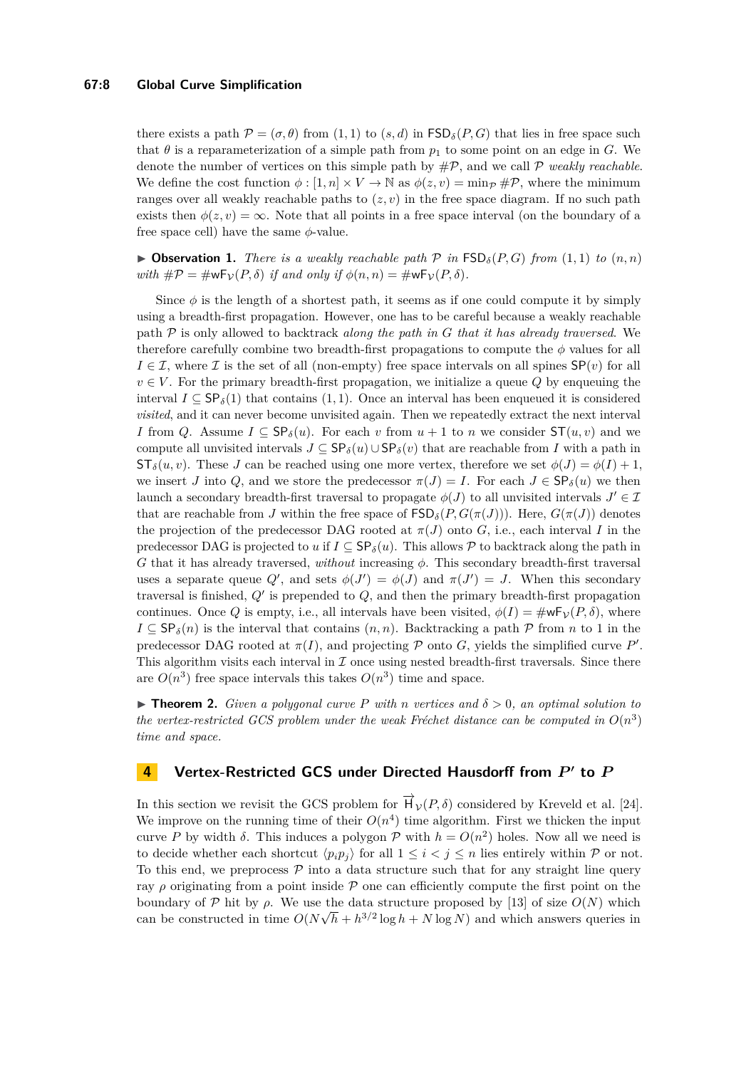#### **67:8 Global Curve Simplification**

there exists a path  $\mathcal{P} = (\sigma, \theta)$  from (1, 1) to (*s, d*) in  $\mathsf{FSD}_\delta(P, G)$  that lies in free space such that  $\theta$  is a reparameterization of a simple path from  $p_1$  to some point on an edge in *G*. We denote the number of vertices on this simple path by #P, and we call P *weakly reachable*. We define the cost function  $\phi : [1, n] \times V \to \mathbb{N}$  as  $\phi(z, v) = \min_{\mathcal{P}} \# \mathcal{P}$ , where the minimum ranges over all weakly reachable paths to  $(z, v)$  in the free space diagram. If no such path exists then  $\phi(z, v) = \infty$ . Note that all points in a free space interval (on the boundary of a free space cell) have the same *φ*-value.

 $\triangleright$  **Observation 1.** *There is a weakly reachable path*  $\mathcal{P}$  *in*  $\mathsf{FSD}_\delta(P,G)$  *from*  $(1,1)$  *to*  $(n,n)$ *with*  $\#\mathcal{P} = \#\mathsf{wF}_{\mathcal{V}}(P,\delta)$  *if and only if*  $\phi(n,n) = \#\mathsf{wF}_{\mathcal{V}}(P,\delta)$ *.* 

Since  $\phi$  is the length of a shortest path, it seems as if one could compute it by simply using a breadth-first propagation. However, one has to be careful because a weakly reachable path P is only allowed to backtrack *along the path in G that it has already traversed*. We therefore carefully combine two breadth-first propagations to compute the *φ* values for all  $I \in \mathcal{I}$ , where  $\mathcal I$  is the set of all (non-empty) free space intervals on all spines  $\mathsf{SP}(v)$  for all  $v \in V$ . For the primary breadth-first propagation, we initialize a queue  $Q$  by enqueuing the interval  $I \subseteq \mathsf{SP}_{\delta}(1)$  that contains  $(1, 1)$ . Once an interval has been enqueued it is considered *visited*, and it can never become unvisited again. Then we repeatedly extract the next interval *I* from *Q*. Assume  $I \subseteq \mathsf{SP}_\delta(u)$ . For each *v* from  $u + 1$  to *n* we consider  $\mathsf{ST}(u, v)$  and we compute all unvisited intervals  $J \subseteq \mathsf{SP}_\delta(u) \cup \mathsf{SP}_\delta(v)$  that are reachable from *I* with a path in  $ST_{\delta}(u, v)$ . These *J* can be reached using one more vertex, therefore we set  $\phi(J) = \phi(I) + 1$ , we insert *J* into *Q*, and we store the predecessor  $\pi(J) = I$ . For each  $J \in \mathsf{SP}_\delta(u)$  we then launch a secondary breadth-first traversal to propagate  $\phi(J)$  to all unvisited intervals  $J' \in \mathcal{I}$ that are reachable from *J* within the free space of  $\text{FSD}_{\delta}(P, G(\pi(J)))$ . Here,  $G(\pi(J))$  denotes the projection of the predecessor DAG rooted at  $\pi(J)$  onto *G*, i.e., each interval *I* in the predecessor DAG is projected to *u* if  $I \subseteq \mathsf{SP}_\delta(u)$ . This allows  $P$  to backtrack along the path in *G* that it has already traversed, *without* increasing *φ*. This secondary breadth-first traversal uses a separate queue  $Q'$ , and sets  $\phi(J') = \phi(J)$  and  $\pi(J') = J$ . When this secondary traversal is finished,  $Q'$  is prepended to  $Q$ , and then the primary breadth-first propagation continues. Once *Q* is empty, i.e., all intervals have been visited,  $\phi(I) = \#wF_{\mathcal{V}}(P, \delta)$ , where  $I \subseteq \mathsf{SP}_{\delta}(n)$  is the interval that contains  $(n, n)$ . Backtracking a path  $P$  from *n* to 1 in the predecessor DAG rooted at  $\pi(I)$ , and projecting P onto G, yields the simplified curve P'. This algorithm visits each interval in  $\mathcal I$  once using nested breadth-first traversals. Since there are  $O(n^3)$  free space intervals this takes  $O(n^3)$  time and space.

<span id="page-7-0"></span> $\triangleright$  **Theorem 2.** *Given a polygonal curve P with n vertices and*  $\delta > 0$ *, an optimal solution to the vertex-restricted GCS problem under the weak Fréchet distance can be computed in*  $O(n^3)$ *time and space.*

# <span id="page-7-1"></span>**4 Vertex-Restricted GCS under Directed Hausdorff from** *P* **0 to** *P*

In this section we revisit the GCS problem for  $\overrightarrow{H}_{\mathcal{V}}(P,\delta)$  considered by Kreveld et al. [\[24\]](#page-13-8). We improve on the running time of their  $O(n^4)$  time algorithm. First we thicken the input curve *P* by width  $\delta$ . This induces a polygon  $\mathcal P$  with  $h = O(n^2)$  holes. Now all we need is to decide whether each shortcut  $\langle p_i p_j \rangle$  for all  $1 \leq i \leq j \leq n$  lies entirely within P or not. To this end, we preprocess  $P$  into a data structure such that for any straight line query ray *ρ* originating from a point inside  $\mathcal P$  one can efficiently compute the first point on the boundary of P hit by  $\rho$ . We use the data structure proposed by [\[13\]](#page-13-15) of size  $O(N)$  which can be constructed in time  $O(N\sqrt{h} + h^{3/2} \log h + N \log N)$  and which answers queries in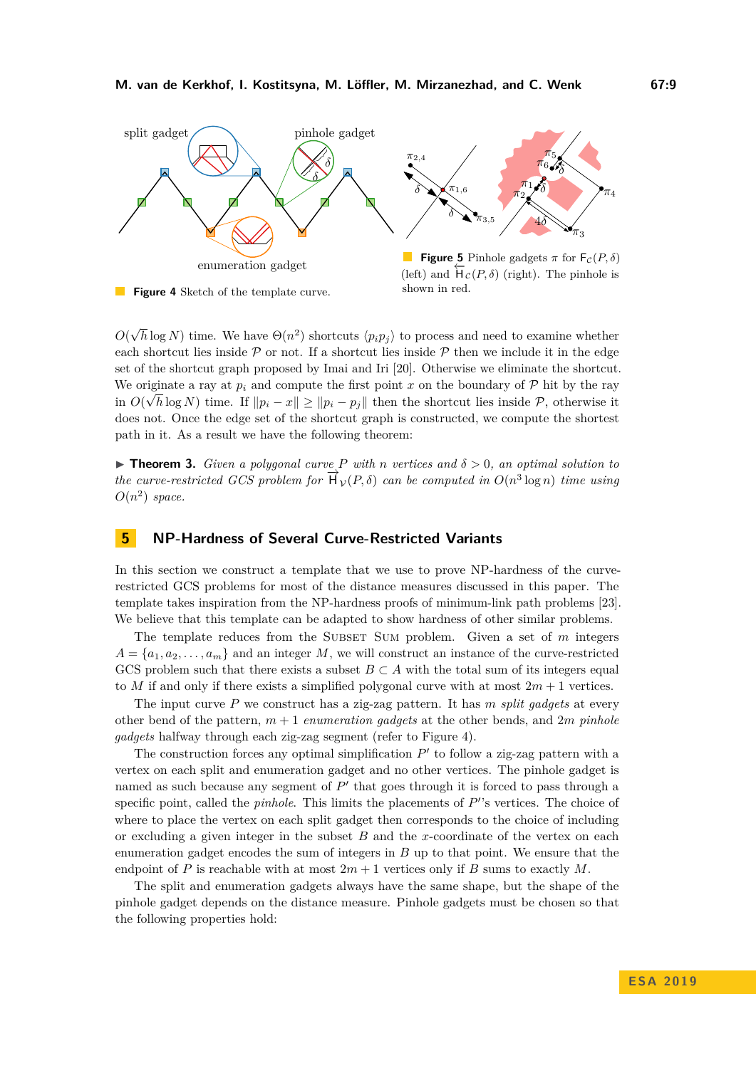<span id="page-8-2"></span>

*O*( √  $\overline{h}$  log *N*) time. We have  $\Theta(n^2)$  shortcuts  $\langle p_i p_j \rangle$  to process and need to examine whether each shortcut lies inside  $P$  or not. If a shortcut lies inside  $P$  then we include it in the edge set of the shortcut graph proposed by Imai and Iri [\[20\]](#page-13-7). Otherwise we eliminate the shortcut. We originate a ray at  $p_i$  and compute the first point  $x$  on the boundary of  $P$  hit by the ray in  $O(\sqrt{h} \log N)$  time. If  $||p_i - x|| \ge ||p_i - p_j||$  then the shortcut lies inside P, otherwise it does not. Once the edge set of the shortcut graph is constructed, we compute the shortest path in it. As a result we have the following theorem:

<span id="page-8-0"></span>**Find 1.** *Given a polygonal curve P* with *n* vertices and  $\delta > 0$ , an optimal solution to *the curve-restricted GCS problem for*  $\overrightarrow{H}_V(P, \delta)$  *can be computed in*  $O(n^3 \log n)$  *time using*  $O(n^2)$  *space.* 

# <span id="page-8-1"></span>**5 NP-Hardness of Several Curve-Restricted Variants**

In this section we construct a template that we use to prove NP-hardness of the curverestricted GCS problems for most of the distance measures discussed in this paper. The template takes inspiration from the NP-hardness proofs of minimum-link path problems [\[23\]](#page-13-11). We believe that this template can be adapted to show hardness of other similar problems.

The template reduces from the SUBSET SUM problem. Given a set of m integers  $A = \{a_1, a_2, \ldots, a_m\}$  and an integer *M*, we will construct an instance of the curve-restricted GCS problem such that there exists a subset  $B \subset A$  with the total sum of its integers equal to *M* if and only if there exists a simplified polygonal curve with at most  $2m + 1$  vertices.

The input curve *P* we construct has a zig-zag pattern. It has *m split gadgets* at every other bend of the pattern, *m* + 1 *enumeration gadgets* at the other bends, and 2*m pinhole gadgets* halfway through each zig-zag segment (refer to Figure [4\)](#page-8-2).

The construction forces any optimal simplification  $P'$  to follow a zig-zag pattern with a vertex on each split and enumeration gadget and no other vertices. The pinhole gadget is named as such because any segment of  $P'$  that goes through it is forced to pass through a specific point, called the *pinhole*. This limits the placements of  $P'$ 's vertices. The choice of where to place the vertex on each split gadget then corresponds to the choice of including or excluding a given integer in the subset *B* and the *x*-coordinate of the vertex on each enumeration gadget encodes the sum of integers in *B* up to that point. We ensure that the endpoint of *P* is reachable with at most  $2m + 1$  vertices only if *B* sums to exactly *M*.

The split and enumeration gadgets always have the same shape, but the shape of the pinhole gadget depends on the distance measure. Pinhole gadgets must be chosen so that the following properties hold: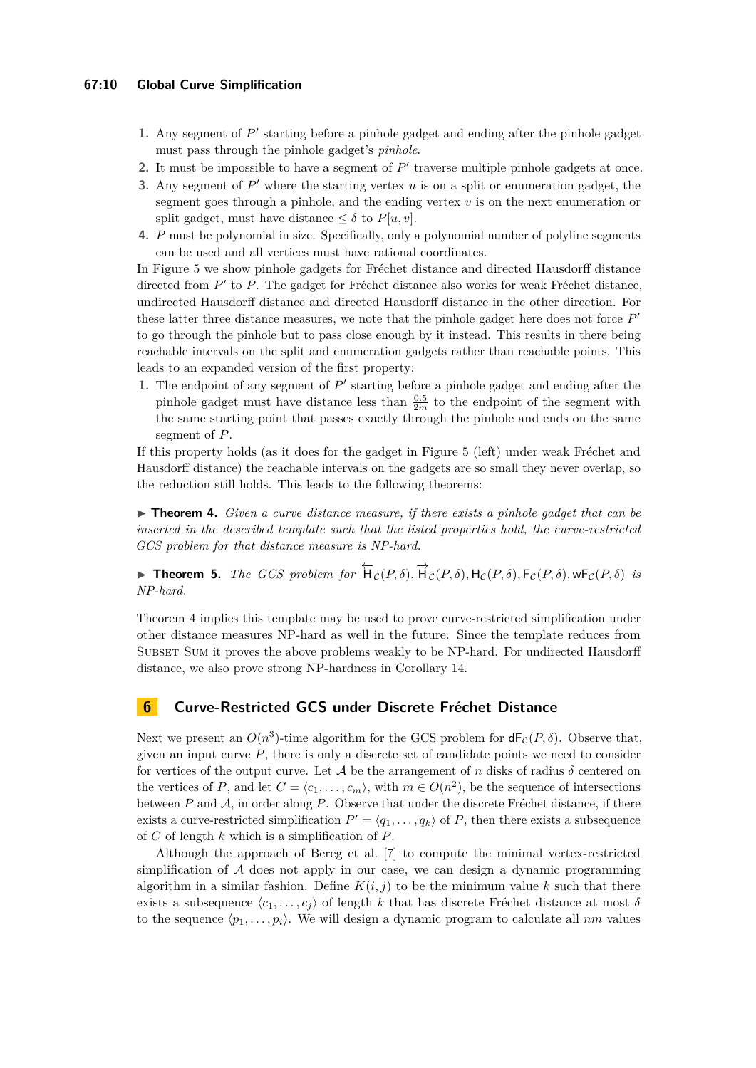- 1. Any segment of  $P'$  starting before a pinhole gadget and ending after the pinhole gadget must pass through the pinhole gadget's *pinhole*.
- 2. It must be impossible to have a segment of  $P'$  traverse multiple pinhole gadgets at once.
- **3.** Any segment of  $P'$  where the starting vertex  $u$  is on a split or enumeration gadget, the segment goes through a pinhole, and the ending vertex *v* is on the next enumeration or split gadget, must have distance  $\leq \delta$  to  $P[u, v]$ .
- **4.** *P* must be polynomial in size. Specifically, only a polynomial number of polyline segments can be used and all vertices must have rational coordinates.

In Figure [5](#page-8-2) we show pinhole gadgets for Fréchet distance and directed Hausdorff distance directed from  $P'$  to  $P$ . The gadget for Fréchet distance also works for weak Fréchet distance, undirected Hausdorff distance and directed Hausdorff distance in the other direction. For these latter three distance measures, we note that the pinhole gadget here does not force  $P'$ to go through the pinhole but to pass close enough by it instead. This results in there being reachable intervals on the split and enumeration gadgets rather than reachable points. This leads to an expanded version of the first property:

1. The endpoint of any segment of  $P'$  starting before a pinhole gadget and ending after the pinhole gadget must have distance less than  $\frac{0.5}{2m}$  to the endpoint of the segment with the same starting point that passes exactly through the pinhole and ends on the same segment of *P*.

If this property holds (as it does for the gadget in Figure [5](#page-8-2) (left) under weak Fréchet and Hausdorff distance) the reachable intervals on the gadgets are so small they never overlap, so the reduction still holds. This leads to the following theorems:

<span id="page-9-1"></span>▶ **Theorem 4.** *Given a curve distance measure, if there exists a pinhole gadget that can be inserted in the described template such that the listed properties hold, the curve-restricted GCS problem for that distance measure is NP-hard.*

<span id="page-9-0"></span>► **Theorem 5.** *The GCS problem for*  $\overleftarrow{H}_c(P, \delta), \overrightarrow{H}_c(P, \delta), H_c(P, \delta), F_c(P, \delta), \text{wF}_c(P, \delta)$  *is NP-hard.*

Theorem [4](#page-9-1) implies this template may be used to prove curve-restricted simplification under other distance measures NP-hard as well in the future. Since the template reduces from SUBSET SUM it proves the above problems weakly to be NP-hard. For undirected Hausdorff distance, we also prove strong NP-hardness in Corollary [14.](#page-12-5)

#### **6 Curve-Restricted GCS under Discrete Fréchet Distance**

Next we present an  $O(n^3)$ -time algorithm for the GCS problem for  $dF_c(P,\delta)$ . Observe that, given an input curve  $P$ , there is only a discrete set of candidate points we need to consider for vertices of the output curve. Let  $A$  be the arrangement of *n* disks of radius  $\delta$  centered on the vertices of *P*, and let  $C = \langle c_1, \ldots, c_m \rangle$ , with  $m \in O(n^2)$ , be the sequence of intersections between *P* and A, in order along *P*. Observe that under the discrete Fréchet distance, if there exists a curve-restricted simplification  $P' = \langle q_1, \ldots, q_k \rangle$  of *P*, then there exists a subsequence of *C* of length *k* which is a simplification of *P*.

Although the approach of Bereg et al. [\[7\]](#page-12-4) to compute the minimal vertex-restricted simplification of  $A$  does not apply in our case, we can design a dynamic programming algorithm in a similar fashion. Define  $K(i, j)$  to be the minimum value k such that there exists a subsequence  $\langle c_1, \ldots, c_j \rangle$  of length *k* that has discrete Fréchet distance at most *δ* to the sequence  $\langle p_1, \ldots, p_i \rangle$ . We will design a dynamic program to calculate all *nm* values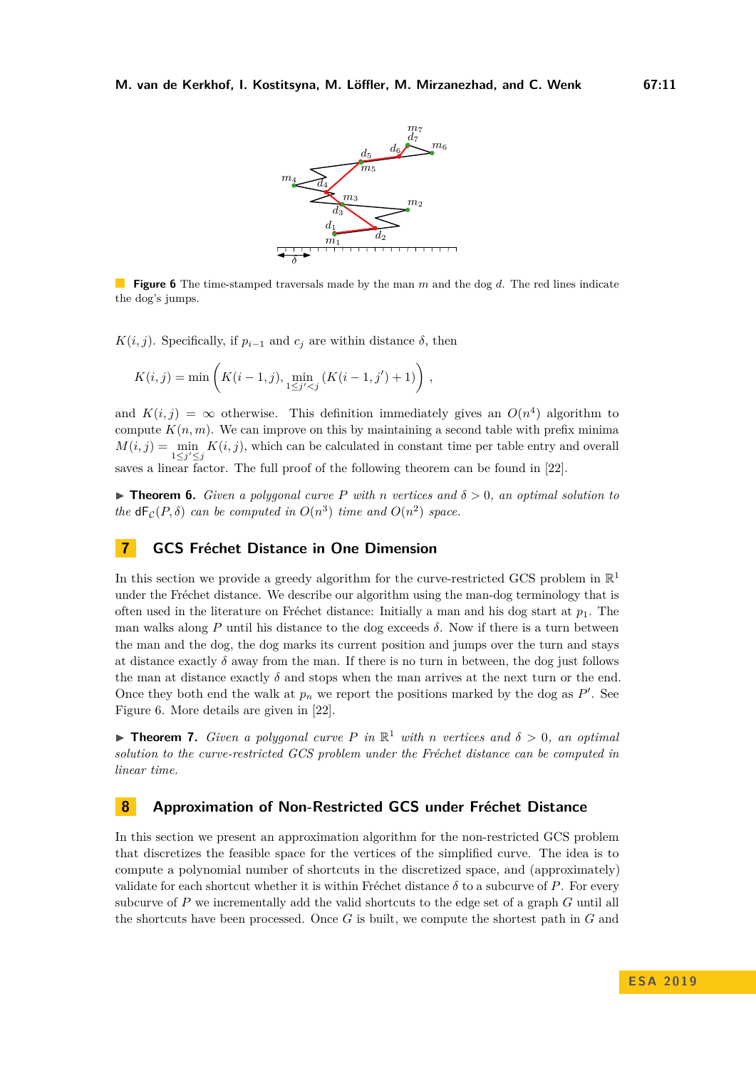<span id="page-10-3"></span>

**Figure 6** The time-stamped traversals made by the man *m* and the dog *d*. The red lines indicate the dog's jumps.

*K*(*i*, *j*). Specifically, if  $p_{i-1}$  and  $c_j$  are within distance  $\delta$ , then

$$
K(i,j) = \min\left(K(i-1,j), \min_{1 \leq j' < j} \left(K(i-1,j') + 1\right)\right),
$$

and  $K(i, j) = \infty$  otherwise. This definition immediately gives an  $O(n^4)$  algorithm to compute  $K(n, m)$ . We can improve on this by maintaining a second table with prefix minima  $M(i, j) = \min_{1 \leq j' \leq j} K(i, j)$ , which can be calculated in constant time per table entry and overall saves a linear factor. The full proof of the following theorem can be found in [\[22\]](#page-13-12).

<span id="page-10-1"></span>**Findment 6.** *Given a polygonal curve P* with *n* vertices and  $\delta > 0$ , an optimal solution to *the*  $dF_c(P, \delta)$  *can be computed in*  $O(n^3)$  *time and*  $O(n^2)$  *space.* 

# **7 GCS Fréchet Distance in One Dimension**

In this section we provide a greedy algorithm for the curve-restricted GCS problem in  $\mathbb{R}^1$ under the Fréchet distance. We describe our algorithm using the man-dog terminology that is often used in the literature on Fréchet distance: Initially a man and his dog start at  $p_1$ . The man walks along *P* until his distance to the dog exceeds *δ*. Now if there is a turn between the man and the dog, the dog marks its current position and jumps over the turn and stays at distance exactly  $\delta$  away from the man. If there is no turn in between, the dog just follows the man at distance exactly  $\delta$  and stops when the man arrives at the next turn or the end. Once they both end the walk at  $p_n$  we report the positions marked by the dog as  $P'$ . See Figure [6.](#page-10-3) More details are given in [\[22\]](#page-13-12).

<span id="page-10-0"></span>**Findment 7.** *Given a polygonal curve P in*  $\mathbb{R}^1$  *with n vertices and*  $\delta > 0$ *, an optimal solution to the curve-restricted GCS problem under the Fréchet distance can be computed in linear time.*

#### <span id="page-10-2"></span>**8 Approximation of Non-Restricted GCS under Fréchet Distance**

In this section we present an approximation algorithm for the non-restricted GCS problem that discretizes the feasible space for the vertices of the simplified curve. The idea is to compute a polynomial number of shortcuts in the discretized space, and (approximately) validate for each shortcut whether it is within Fréchet distance  $\delta$  to a subcurve of P. For every subcurve of *P* we incrementally add the valid shortcuts to the edge set of a graph *G* until all the shortcuts have been processed. Once *G* is built, we compute the shortest path in *G* and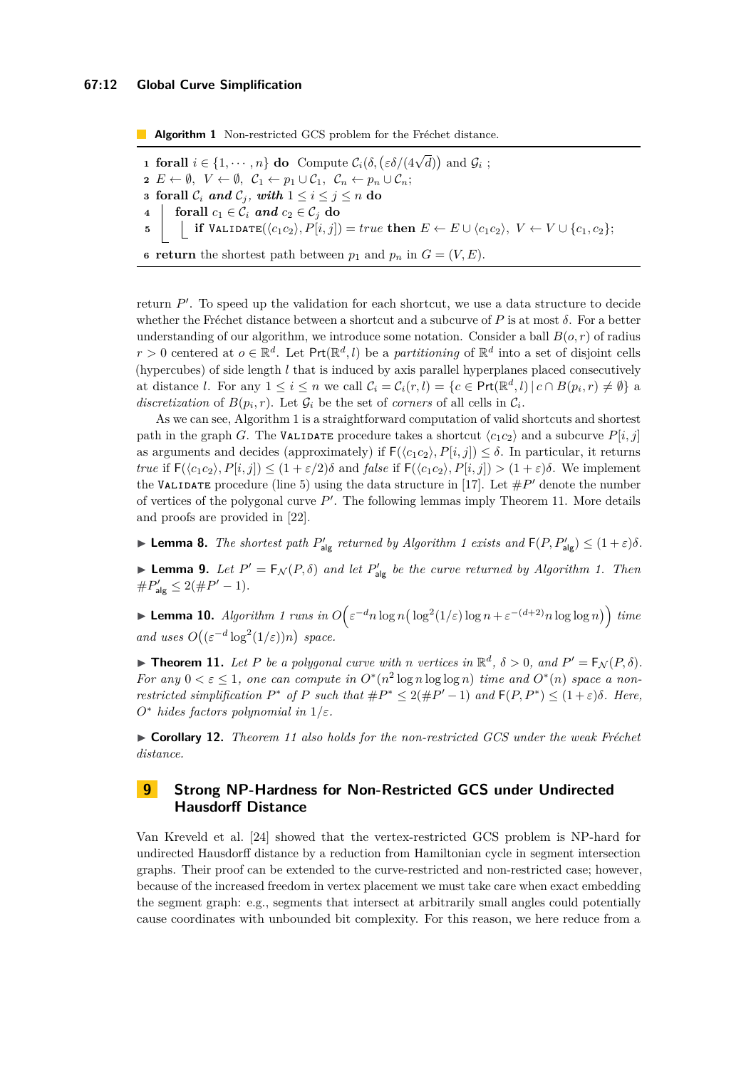**Algorithm 1** Non-restricted GCS problem for the Fréchet distance.

<span id="page-11-4"></span><span id="page-11-3"></span> **forall**  $i \in \{1, \dots, n\}$  **do** Compute  $C_i(\delta, \left(\varepsilon \delta/(4\sqrt{d})\right)$  and  $\mathcal{G}_i$ ;  $E \leftarrow \emptyset$ ,  $V \leftarrow \emptyset$ ,  $C_1 \leftarrow p_1 \cup C_1$ ,  $C_n \leftarrow p_n \cup C_n$ ; **forall**  $C_i$  *and*  $C_j$ , *with*  $1 \leq i \leq j \leq n$  **do forall**  $c_1 \in \overset{\circ}{\mathcal{C}_i}$  **and**  $c_2 \in \mathcal{C}_j$  **do**   $\left| \begin{array}{c} \mathbf{if} \ \mathsf{VALIDATE}(\langle c_1 c_2 \rangle, P[i,j]) = true \ \mathbf{then} \ E \leftarrow E \cup \langle c_1 c_2 \rangle, \ V \leftarrow V \cup \{c_1, c_2\}; \end{array} \right.$ **return** the shortest path between  $p_1$  and  $p_n$  in  $G = (V, E)$ .

return  $P'$ . To speed up the validation for each shortcut, we use a data structure to decide whether the Fréchet distance between a shortcut and a subcurve of *P* is at most *δ*. For a better understanding of our algorithm, we introduce some notation. Consider a ball  $B(o, r)$  of radius  $r > 0$  centered at  $o \in \mathbb{R}^d$ . Let  $\text{Prt}(\mathbb{R}^d, l)$  be a *partitioning* of  $\mathbb{R}^d$  into a set of disjoint cells (hypercubes) of side length *l* that is induced by axis parallel hyperplanes placed consecutively at distance *l*. For any  $1 \leq i \leq n$  we call  $\mathcal{C}_i = \mathcal{C}_i(r, l) = \{c \in \text{Prt}(\mathbb{R}^d, l) | c \cap B(p_i, r) \neq \emptyset\}$  a discretization of  $B(p_i, r)$ . Let  $\mathcal{G}_i$  be the set of *corners* of all cells in  $\mathcal{C}_i$ .

As we can see, Algorithm [1](#page-11-3) is a straightforward computation of valid shortcuts and shortest path in the graph *G*. The VALIDATE procedure takes a shortcut  $\langle c_1 c_2 \rangle$  and a subcurve  $P[i, j]$ as arguments and decides (approximately) if  $F(\langle c_1 c_2 \rangle, P[i, j]) \leq \delta$ . In particular, it returns *true* if  $F(\langle c_1 c_2 \rangle, P[i, j]) \leq (1 + \varepsilon/2)\delta$  and *false* if  $F(\langle c_1 c_2 \rangle, P[i, j]) > (1 + \varepsilon)\delta$ . We implement the VALIDATE procedure (line [5\)](#page-11-4) using the data structure in [\[17\]](#page-13-16). Let  $\#P'$  denote the number of vertices of the polygonal curve  $P'$ . The following lemmas imply Theorem [11.](#page-11-0) More details and proofs are provided in [\[22\]](#page-13-12).

**Example 8.** *The shortest path*  $P'_{\text{alg}}$  *returned by Algorithm [1](#page-11-3) exists and*  $F(P, P'_{\text{alg}}) \leq (1 + \varepsilon)\delta$ .

**Example 1** Let  $P' = F_N(P, \delta)$  and let  $P'_{\text{alg}}$  be the curve returned by Algorithm [1.](#page-11-3) Then  $\#P'_{\text{alg}} \leq 2(\#P' - 1).$ 

► **Lemma [1](#page-11-3)0.** *Algorithm 1 runs in*  $O\left(\varepsilon^{-d} n \log n \left(\frac{\log^2(1/\varepsilon) \log n + \varepsilon^{-(d+2)} n \log \log n}\right)\right)$  *time and uses*  $O((\varepsilon^{-d} \log^2(1/\varepsilon))n)$  *space.* 

<span id="page-11-0"></span>**Fineorem 11.** Let P be a polygonal curve with n vertices in  $\mathbb{R}^d$ ,  $\delta > 0$ , and  $P' = F_{\mathcal{N}}(P, \delta)$ . *For any*  $0 < \varepsilon \leq 1$ , one can compute in  $O^*(n^2 \log n \log \log n)$  time and  $O^*(n)$  space a non*restricted simplification*  $P^*$  *of*  $P$  *such that*  $\#P^* \leq 2(\#P' - 1)$  *and*  $\mathsf{F}(P, P^*) \leq (1 + \varepsilon)\delta$ *. Here, O*<sup>∗</sup> *hides factors polynomial in* 1*/ε.*

<span id="page-11-1"></span>I **Corollary 12.** *Theorem [11](#page-11-0) also holds for the non-restricted GCS under the weak Fréchet distance.*

# <span id="page-11-2"></span>**9 Strong NP-Hardness for Non-Restricted GCS under Undirected Hausdorff Distance**

Van Kreveld et al. [\[24\]](#page-13-8) showed that the vertex-restricted GCS problem is NP-hard for undirected Hausdorff distance by a reduction from Hamiltonian cycle in segment intersection graphs. Their proof can be extended to the curve-restricted and non-restricted case; however, because of the increased freedom in vertex placement we must take care when exact embedding the segment graph: e.g., segments that intersect at arbitrarily small angles could potentially cause coordinates with unbounded bit complexity. For this reason, we here reduce from a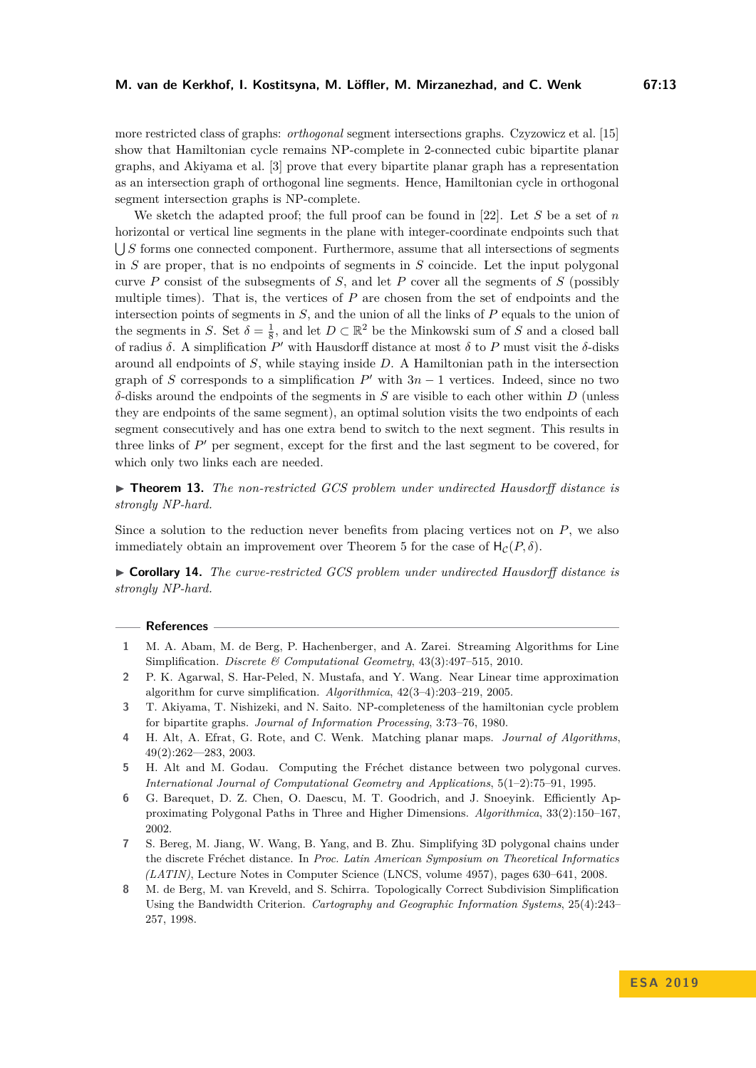more restricted class of graphs: *orthogonal* segment intersections graphs. Czyzowicz et al. [\[15\]](#page-13-17) show that Hamiltonian cycle remains NP-complete in 2-connected cubic bipartite planar graphs, and Akiyama et al. [\[3\]](#page-12-9) prove that every bipartite planar graph has a representation as an intersection graph of orthogonal line segments. Hence, Hamiltonian cycle in orthogonal segment intersection graphs is NP-complete.

We sketch the adapted proof; the full proof can be found in [\[22\]](#page-13-12). Let *S* be a set of *n* horizontal or vertical line segments in the plane with integer-coordinate endpoints such that S *S* forms one connected component. Furthermore, assume that all intersections of segments in *S* are proper, that is no endpoints of segments in *S* coincide. Let the input polygonal curve *P* consist of the subsegments of *S*, and let *P* cover all the segments of *S* (possibly multiple times). That is, the vertices of *P* are chosen from the set of endpoints and the intersection points of segments in *S*, and the union of all the links of *P* equals to the union of the segments in *S*. Set  $\delta = \frac{1}{8}$ , and let  $D \subset \mathbb{R}^2$  be the Minkowski sum of *S* and a closed ball of radius  $\delta$ . A simplification  $P'$  with Hausdorff distance at most  $\delta$  to  $P$  must visit the  $\delta$ -disks around all endpoints of *S*, while staying inside *D*. A Hamiltonian path in the intersection graph of *S* corresponds to a simplification  $P'$  with  $3n - 1$  vertices. Indeed, since no two *δ*-disks around the endpoints of the segments in *S* are visible to each other within *D* (unless they are endpoints of the same segment), an optimal solution visits the two endpoints of each segment consecutively and has one extra bend to switch to the next segment. This results in three links of  $P'$  per segment, except for the first and the last segment to be covered, for which only two links each are needed.

<span id="page-12-6"></span>▶ **Theorem 13.** *The non-restricted GCS problem under undirected Hausdorff distance is strongly NP-hard.*

Since a solution to the reduction never benefits from placing vertices not on *P*, we also immediately obtain an improvement over Theorem [5](#page-9-0) for the case of  $H_c(P, \delta)$ .

<span id="page-12-5"></span>I **Corollary 14.** *The curve-restricted GCS problem under undirected Hausdorff distance is strongly NP-hard.*

#### **References**

- <span id="page-12-0"></span>**1** M. A. Abam, M. de Berg, P. Hachenberger, and A. Zarei. Streaming Algorithms for Line Simplification. *Discrete & Computational Geometry*, 43(3):497–515, 2010.
- <span id="page-12-1"></span>**2** P. K. Agarwal, S. Har-Peled, N. Mustafa, and Y. Wang. Near Linear time approximation algorithm for curve simplification. *Algorithmica*, 42(3–4):203–219, 2005.
- <span id="page-12-9"></span>**3** T. Akiyama, T. Nishizeki, and N. Saito. NP-completeness of the hamiltonian cycle problem for bipartite graphs. *Journal of Information Processing*, 3:73–76, 1980.
- <span id="page-12-7"></span>**4** H. Alt, A. Efrat, G. Rote, and C. Wenk. Matching planar maps. *Journal of Algorithms*, 49(2):262––283, 2003.
- <span id="page-12-8"></span>**5** H. Alt and M. Godau. Computing the Fréchet distance between two polygonal curves. *International Journal of Computational Geometry and Applications*, 5(1–2):75–91, 1995.
- <span id="page-12-2"></span>**6** G. Barequet, D. Z. Chen, O. Daescu, M. T. Goodrich, and J. Snoeyink. Efficiently Approximating Polygonal Paths in Three and Higher Dimensions. *Algorithmica*, 33(2):150–167, 2002.
- <span id="page-12-4"></span>**7** S. Bereg, M. Jiang, W. Wang, B. Yang, and B. Zhu. Simplifying 3D polygonal chains under the discrete Fréchet distance. In *Proc. Latin American Symposium on Theoretical Informatics (LATIN)*, Lecture Notes in Computer Science (LNCS, volume 4957), pages 630–641, 2008.
- <span id="page-12-3"></span>**8** M. de Berg, M. van Kreveld, and S. Schirra. Topologically Correct Subdivision Simplification Using the Bandwidth Criterion. *Cartography and Geographic Information Systems*, 25(4):243– 257, 1998.